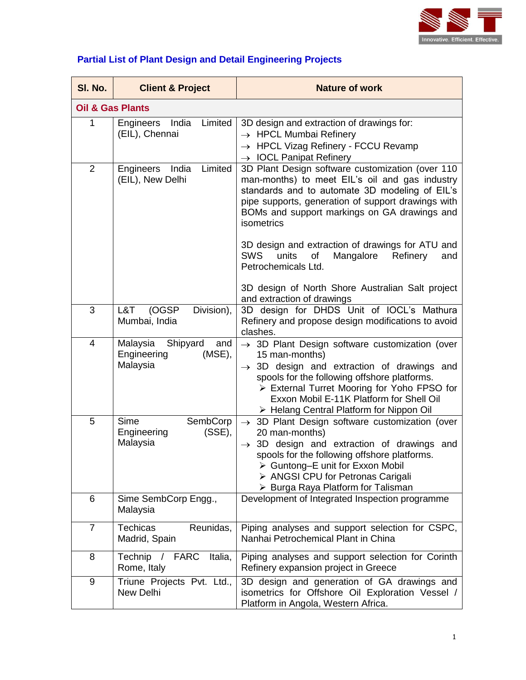

|  | <b>Partial List of Plant Design and Detail Engineering Projects</b> |  |
|--|---------------------------------------------------------------------|--|
|  |                                                                     |  |

| SI. No.                     | <b>Client &amp; Project</b>                                         | <b>Nature of work</b>                                                                                                                                                                                                                                                                                                         |
|-----------------------------|---------------------------------------------------------------------|-------------------------------------------------------------------------------------------------------------------------------------------------------------------------------------------------------------------------------------------------------------------------------------------------------------------------------|
| <b>Oil &amp; Gas Plants</b> |                                                                     |                                                                                                                                                                                                                                                                                                                               |
| $\mathbf{1}$                | India<br>Limited<br>Engineers<br>(EIL), Chennai                     | 3D design and extraction of drawings for:<br>$\rightarrow$ HPCL Mumbai Refinery<br>$\rightarrow$ HPCL Vizag Refinery - FCCU Revamp<br>$\rightarrow$ IOCL Panipat Refinery                                                                                                                                                     |
| $\overline{2}$              | India<br>Limited<br>Engineers<br>(EIL), New Delhi                   | 3D Plant Design software customization (over 110<br>man-months) to meet EIL's oil and gas industry<br>standards and to automate 3D modeling of EIL's<br>pipe supports, generation of support drawings with<br>BOMs and support markings on GA drawings and<br>isometrics                                                      |
|                             |                                                                     | 3D design and extraction of drawings for ATU and<br><b>SWS</b><br>units<br>Mangalore<br>of<br>Refinery<br>and<br>Petrochemicals Ltd.                                                                                                                                                                                          |
|                             |                                                                     | 3D design of North Shore Australian Salt project<br>and extraction of drawings                                                                                                                                                                                                                                                |
| 3                           | (OGSP<br>L&T<br>Division),<br>Mumbai, India                         | 3D design for DHDS Unit of IOCL's Mathura<br>Refinery and propose design modifications to avoid<br>clashes.                                                                                                                                                                                                                   |
| $\overline{4}$              | Malaysia<br>Shipyard<br>and<br>Engineering<br>$(MSE)$ ,<br>Malaysia | $\rightarrow$ 3D Plant Design software customization (over<br>15 man-months)<br>$\rightarrow$ 3D design and extraction of drawings and<br>spools for the following offshore platforms.<br>> External Turret Mooring for Yoho FPSO for<br>Exxon Mobil E-11K Platform for Shell Oil<br>> Helang Central Platform for Nippon Oil |
| 5                           | Sime<br>SembCorp<br>Engineering<br>$(SSE)$ ,<br>Malaysia            | $\rightarrow$ 3D Plant Design software customization (over<br>20 man-months)<br>$\rightarrow$ 3D design and extraction of drawings and<br>spools for the following offshore platforms.<br>> Guntong-E unit for Exxon Mobil<br>> ANGSI CPU for Petronas Carigali<br>> Burga Raya Platform for Talisman                         |
| 6                           | Sime SembCorp Engg.,<br>Malaysia                                    | Development of Integrated Inspection programme                                                                                                                                                                                                                                                                                |
| $\overline{7}$              | <b>Techicas</b><br>Reunidas,<br>Madrid, Spain                       | Piping analyses and support selection for CSPC,<br>Nanhai Petrochemical Plant in China                                                                                                                                                                                                                                        |
| 8                           | <b>FARC</b><br>Italia,<br>Technip<br>Rome, Italy                    | Piping analyses and support selection for Corinth<br>Refinery expansion project in Greece                                                                                                                                                                                                                                     |
| 9                           | Triune Projects Pvt. Ltd.,<br>New Delhi                             | 3D design and generation of GA drawings and<br>isometrics for Offshore Oil Exploration Vessel /<br>Platform in Angola, Western Africa.                                                                                                                                                                                        |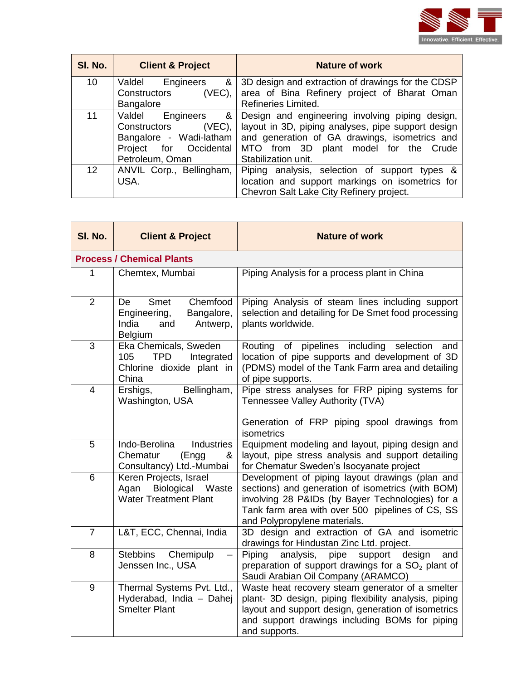

| SI. No.         | <b>Client &amp; Project</b> | Nature of work                                     |
|-----------------|-----------------------------|----------------------------------------------------|
| 10              | Engineers<br>Valdel<br>&    | 3D design and extraction of drawings for the CDSP  |
|                 | Constructors<br>$(VEC)$ ,   | area of Bina Refinery project of Bharat Oman       |
|                 | Bangalore                   | Refineries Limited.                                |
| 11              | Valdel<br>Engineers<br>&    | Design and engineering involving piping design,    |
|                 | Constructors<br>$(VEC)$ ,   | layout in 3D, piping analyses, pipe support design |
|                 | Bangalore - Wadi-latham     | and generation of GA drawings, isometrics and      |
|                 | Project<br>for Occidental   | MTO from 3D plant model for the Crude              |
|                 | Petroleum, Oman             | Stabilization unit.                                |
| 12 <sup>2</sup> | ANVIL Corp., Bellingham,    | Piping analysis, selection of support types &      |
|                 | USA.                        | location and support markings on isometrics for    |
|                 |                             | Chevron Salt Lake City Refinery project.           |

| SI. No.        | <b>Client &amp; Project</b>                                                                        | <b>Nature of work</b>                                                                                                                                                                                                                        |  |
|----------------|----------------------------------------------------------------------------------------------------|----------------------------------------------------------------------------------------------------------------------------------------------------------------------------------------------------------------------------------------------|--|
|                | <b>Process / Chemical Plants</b>                                                                   |                                                                                                                                                                                                                                              |  |
| 1              | Chemtex, Mumbai                                                                                    | Piping Analysis for a process plant in China                                                                                                                                                                                                 |  |
| $\overline{2}$ | Chemfood<br>Smet<br>De<br>Engineering,<br>Bangalore,<br>India<br>Antwerp,<br>and<br><b>Belgium</b> | Piping Analysis of steam lines including support<br>selection and detailing for De Smet food processing<br>plants worldwide.                                                                                                                 |  |
| 3              | Eka Chemicals, Sweden<br>105<br><b>TPD</b><br>Integrated<br>Chlorine dioxide plant in<br>China     | of pipelines including selection<br>Routing<br>and<br>location of pipe supports and development of 3D<br>(PDMS) model of the Tank Farm area and detailing<br>of pipe supports.                                                               |  |
| $\overline{4}$ | Bellingham,<br>Ershigs,<br>Washington, USA                                                         | Pipe stress analyses for FRP piping systems for<br>Tennessee Valley Authority (TVA)<br>Generation of FRP piping spool drawings from<br>isometrics                                                                                            |  |
| 5              | Indo-Berolina<br><b>Industries</b><br>Chematur<br>(Engg<br>&<br>Consultancy) Ltd.-Mumbai           | Equipment modeling and layout, piping design and<br>layout, pipe stress analysis and support detailing<br>for Chematur Sweden's Isocyanate project                                                                                           |  |
| 6              | Keren Projects, Israel<br>Biological<br>Agan<br>Waste<br><b>Water Treatment Plant</b>              | Development of piping layout drawings (plan and<br>sections) and generation of isometrics (with BOM)<br>involving 28 P&IDs (by Bayer Technologies) for a<br>Tank farm area with over 500 pipelines of CS, SS<br>and Polypropylene materials. |  |
| $\overline{7}$ | L&T, ECC, Chennai, India                                                                           | 3D design and extraction of GA and isometric<br>drawings for Hindustan Zinc Ltd. project.                                                                                                                                                    |  |
| 8              | Stebbins<br>Chemipulp<br>Jenssen Inc., USA                                                         | Piping<br>analysis,<br>pipe<br>design<br>support<br>and<br>preparation of support drawings for a $SO2$ plant of<br>Saudi Arabian Oil Company (ARAMCO)                                                                                        |  |
| 9              | Thermal Systems Pvt. Ltd.,<br>Hyderabad, India - Dahej<br><b>Smelter Plant</b>                     | Waste heat recovery steam generator of a smelter<br>plant- 3D design, piping flexibility analysis, piping<br>layout and support design, generation of isometrics<br>and support drawings including BOMs for piping<br>and supports.          |  |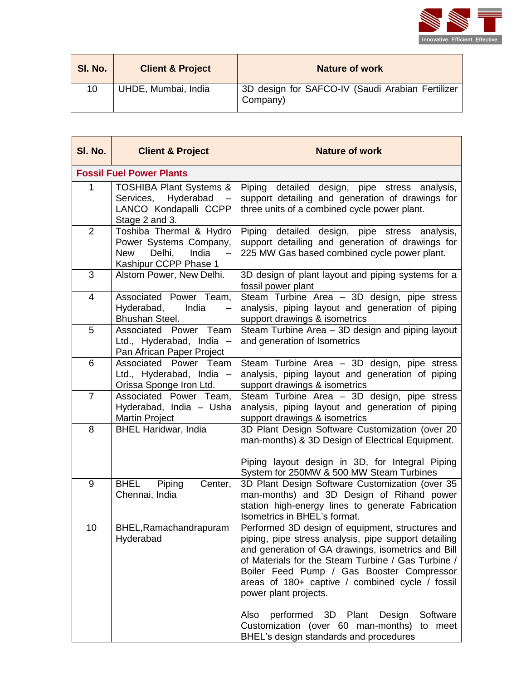

| SI. No. | <b>Client &amp; Project</b> | <b>Nature of work</b>                                        |
|---------|-----------------------------|--------------------------------------------------------------|
| 10      | UHDE, Mumbai, India         | 3D design for SAFCO-IV (Saudi Arabian Fertilizer<br>Company) |

| SI. No.        | <b>Client &amp; Project</b>                                                                                 | <b>Nature of work</b>                                                                                                                                                                                                                                                                                                                                                                                                                                                                        |
|----------------|-------------------------------------------------------------------------------------------------------------|----------------------------------------------------------------------------------------------------------------------------------------------------------------------------------------------------------------------------------------------------------------------------------------------------------------------------------------------------------------------------------------------------------------------------------------------------------------------------------------------|
|                | <b>Fossil Fuel Power Plants</b>                                                                             |                                                                                                                                                                                                                                                                                                                                                                                                                                                                                              |
| 1              | <b>TOSHIBA Plant Systems &amp;</b><br>Services, Hyderabad<br>LANCO Kondapalli CCPP<br>Stage 2 and 3.        | Piping detailed design, pipe stress analysis,<br>support detailing and generation of drawings for<br>three units of a combined cycle power plant.                                                                                                                                                                                                                                                                                                                                            |
| $\overline{2}$ | Toshiba Thermal & Hydro<br>Power Systems Company,<br>Delhi,<br>India<br><b>New</b><br>Kashipur CCPP Phase 1 | Piping detailed design, pipe stress<br>analysis,<br>support detailing and generation of drawings for<br>225 MW Gas based combined cycle power plant.                                                                                                                                                                                                                                                                                                                                         |
| 3              | Alstom Power, New Delhi.                                                                                    | 3D design of plant layout and piping systems for a<br>fossil power plant                                                                                                                                                                                                                                                                                                                                                                                                                     |
| 4              | Associated Power Team,<br>Hyderabad,<br>India<br>Bhushan Steel.                                             | Steam Turbine Area - 3D design, pipe stress<br>analysis, piping layout and generation of piping<br>support drawings & isometrics                                                                                                                                                                                                                                                                                                                                                             |
| 5              | Associated Power<br>Team<br>Ltd., Hyderabad, India -<br>Pan African Paper Project                           | Steam Turbine Area - 3D design and piping layout<br>and generation of Isometrics                                                                                                                                                                                                                                                                                                                                                                                                             |
| 6              | Associated Power Team<br>Ltd., Hyderabad, India -<br>Orissa Sponge Iron Ltd.                                | Steam Turbine Area - 3D design, pipe stress<br>analysis, piping layout and generation of piping<br>support drawings & isometrics                                                                                                                                                                                                                                                                                                                                                             |
| $\overline{7}$ | Associated Power Team,<br>Hyderabad, India - Usha<br><b>Martin Project</b>                                  | Steam Turbine Area - 3D design, pipe stress<br>analysis, piping layout and generation of piping<br>support drawings & isometrics                                                                                                                                                                                                                                                                                                                                                             |
| 8              | <b>BHEL Haridwar, India</b>                                                                                 | 3D Plant Design Software Customization (over 20<br>man-months) & 3D Design of Electrical Equipment.<br>Piping layout design in 3D, for Integral Piping<br>System for 250MW & 500 MW Steam Turbines                                                                                                                                                                                                                                                                                           |
| 9              | <b>BHEL</b><br>Piping<br>Center,<br>Chennai, India                                                          | 3D Plant Design Software Customization (over 35<br>man-months) and 3D Design of Rihand power<br>station high-energy lines to generate Fabrication<br>Isometrics in BHEL's format.                                                                                                                                                                                                                                                                                                            |
| 10             | BHEL, Ramachandrapuram<br>Hyderabad                                                                         | Performed 3D design of equipment, structures and<br>piping, pipe stress analysis, pipe support detailing<br>and generation of GA drawings, isometrics and Bill<br>of Materials for the Steam Turbine / Gas Turbine /<br>Boiler Feed Pump / Gas Booster Compressor<br>areas of 180+ captive / combined cycle / fossil<br>power plant projects.<br>performed 3D Plant<br>Software<br>Also<br>Design<br>Customization (over 60 man-months)<br>to meet<br>BHEL's design standards and procedures |